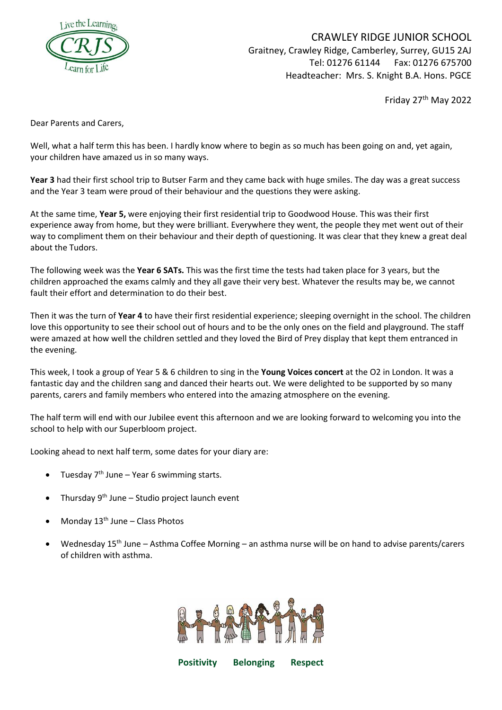

CRAWLEY RIDGE JUNIOR SCHOOL Graitney, Crawley Ridge, Camberley, Surrey, GU15 2AJ Tel: 01276 61144 Fax: 01276 675700 Headteacher: Mrs. S. Knight B.A. Hons. PGCE

Friday 27th May 2022

Dear Parents and Carers,

Well, what a half term this has been. I hardly know where to begin as so much has been going on and, yet again, your children have amazed us in so many ways.

**Year 3** had their first school trip to Butser Farm and they came back with huge smiles. The day was a great success and the Year 3 team were proud of their behaviour and the questions they were asking.

At the same time, **Year 5,** were enjoying their first residential trip to Goodwood House. This was their first experience away from home, but they were brilliant. Everywhere they went, the people they met went out of their way to compliment them on their behaviour and their depth of questioning. It was clear that they knew a great deal about the Tudors.

The following week was the **Year 6 SATs.** This was the first time the tests had taken place for 3 years, but the children approached the exams calmly and they all gave their very best. Whatever the results may be, we cannot fault their effort and determination to do their best.

Then it was the turn of **Year 4** to have their first residential experience; sleeping overnight in the school. The children love this opportunity to see their school out of hours and to be the only ones on the field and playground. The staff were amazed at how well the children settled and they loved the Bird of Prey display that kept them entranced in the evening.

This week, I took a group of Year 5 & 6 children to sing in the **Young Voices concert** at the O2 in London. It was a fantastic day and the children sang and danced their hearts out. We were delighted to be supported by so many parents, carers and family members who entered into the amazing atmosphere on the evening.

The half term will end with our Jubilee event this afternoon and we are looking forward to welcoming you into the school to help with our Superbloom project.

Looking ahead to next half term, some dates for your diary are:

- $\bullet$  Tuesday 7<sup>th</sup> June Year 6 swimming starts.
- Thursday  $9<sup>th</sup>$  June Studio project launch event
- Monday  $13<sup>th</sup>$  June Class Photos
- Wednesday 15<sup>th</sup> June Asthma Coffee Morning an asthma nurse will be on hand to advise parents/carers of children with asthma.



**Positivity Belonging Respect**